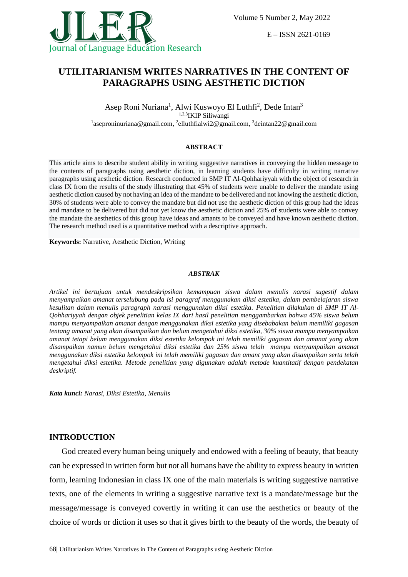

 $E -$  ISSN 2621-0169

# **UTILITARIANISM WRITES NARRATIVES IN THE CONTENT OF PARAGRAPHS USING AESTHETIC DICTION**

Asep Roni Nuriana<sup>1</sup>, Alwi Kuswoyo El Luthfi<sup>2</sup>, Dede Intan<sup>3</sup> 1,2,3IKIP Siliwangi <sup>1</sup>[aseproninuriana@gmail.com,](mailto:aseproninuriana@gmail.com) <sup>2</sup>[elluthfialwi2@gmail.com,](mailto:elluthfialwi2@gmail.com) <sup>3</sup>[deintan22@gmail.com](mailto:deintan22@gmail.com)

#### **ABSTRACT**

This article aims to describe student ability in writing suggestive narratives in conveying the hidden message to the contents of paragraphs using aesthetic diction, in learning students have difficulty in writing narrative paragraphs using aesthetic diction. Research conducted in SMP IT Al-Qohhariyyah with the object of research in class IX from the results of the study illustrating that 45% of students were unable to deliver the mandate using aesthetic diction caused by not having an idea of the mandate to be delivered and not knowing the aesthetic diction, 30% of students were able to convey the mandate but did not use the aesthetic diction of this group had the ideas and mandate to be delivered but did not yet know the aesthetic diction and 25% of students were able to convey the mandate the aesthetics of this group have ideas and amants to be conveyed and have known aesthetic diction. The research method used is a quantitative method with a descriptive approach.

**Keywords:** Narrative, Aesthetic Diction, Writing

#### *ABSTRAK*

*Artikel ini bertujuan untuk mendeskripsikan kemampuan siswa dalam menulis narasi sugestif dalam menyampaikan amanat terselubung pada isi paragraf menggunakan diksi estetika, dalam pembelajaran siswa kesulitan dalam menulis paragraph narasi menggunakan diksi estetika. Penelitian dilakukan di SMP IT Al-Qohhariyyah dengan objek penelitian kelas IX dari hasil penelitian menggambarkan bahwa 45% siswa belum mampu menyampaikan amanat dengan menggunakan diksi estetika yang disebabakan belum memiliki gagasan tentang amanat yang akan disampaikan dan belum mengetahui diksi estetika, 30% siswa mampu menyampaikan amanat tetapi belum menggunakan diksi estetika kelompok ini telah memiliki gagasan dan amanat yang akan disampaikan namun belum mengetahui diksi estetika dan 25% siswa telah mampu menyampaikan amanat menggunakan diksi estetika kelompok ini telah memiliki gagasan dan amant yang akan disampaikan serta telah mengetahui diksi estetika. Metode penelitian yang digunakan adalah metode kuantitatif dengan pendekatan deskriptif.*

*Kata kunci: Narasi, Diksi Estetika, Menulis*

#### **INTRODUCTION**

 God created every human being uniquely and endowed with a feeling of beauty, that beauty can be expressed in written form but not all humans have the ability to express beauty in written form, learning Indonesian in class IX one of the main materials is writing suggestive narrative texts, one of the elements in writing a suggestive narrative text is a mandate/message but the message/message is conveyed covertly in writing it can use the aesthetics or beauty of the choice of words or diction it uses so that it gives birth to the beauty of the words, the beauty of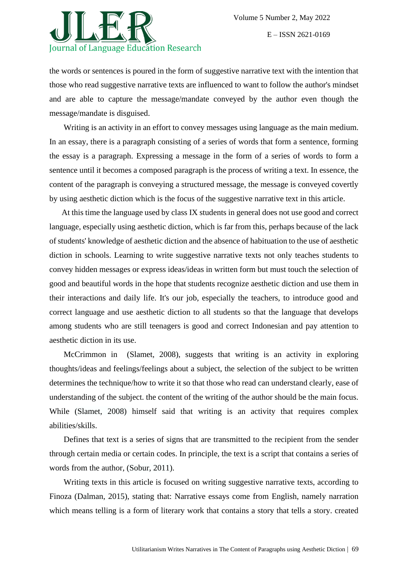

the words or sentences is poured in the form of suggestive narrative text with the intention that those who read suggestive narrative texts are influenced to want to follow the author's mindset and are able to capture the message/mandate conveyed by the author even though the message/mandate is disguised.

 Writing is an activity in an effort to convey messages using language as the main medium. In an essay, there is a paragraph consisting of a series of words that form a sentence, forming the essay is a paragraph. Expressing a message in the form of a series of words to form a sentence until it becomes a composed paragraph is the process of writing a text. In essence, the content of the paragraph is conveying a structured message, the message is conveyed covertly by using aesthetic diction which is the focus of the suggestive narrative text in this article.

 At this time the language used by class IX students in general does not use good and correct language, especially using aesthetic diction, which is far from this, perhaps because of the lack of students' knowledge of aesthetic diction and the absence of habituation to the use of aesthetic diction in schools. Learning to write suggestive narrative texts not only teaches students to convey hidden messages or express ideas/ideas in written form but must touch the selection of good and beautiful words in the hope that students recognize aesthetic diction and use them in their interactions and daily life. It's our job, especially the teachers, to introduce good and correct language and use aesthetic diction to all students so that the language that develops among students who are still teenagers is good and correct Indonesian and pay attention to aesthetic diction in its use.

 McCrimmon in (Slamet, 2008), suggests that writing is an activity in exploring thoughts/ideas and feelings/feelings about a subject, the selection of the subject to be written determines the technique/how to write it so that those who read can understand clearly, ease of understanding of the subject. the content of the writing of the author should be the main focus. While (Slamet, 2008) himself said that writing is an activity that requires complex abilities/skills.

 Defines that text is a series of signs that are transmitted to the recipient from the sender through certain media or certain codes. In principle, the text is a script that contains a series of words from the author, (Sobur, 2011).

 Writing texts in this article is focused on writing suggestive narrative texts, according to Finoza (Dalman, 2015), stating that: Narrative essays come from English, namely narration which means telling is a form of literary work that contains a story that tells a story. created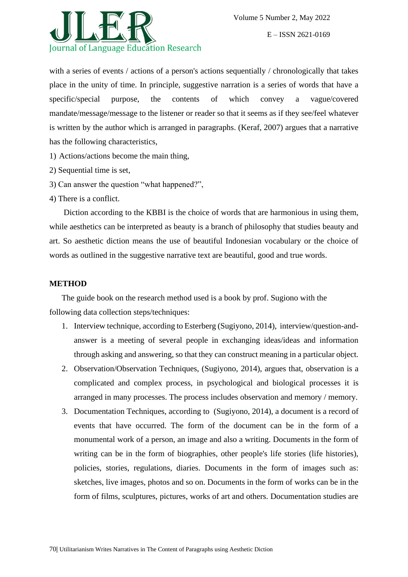

with a series of events / actions of a person's actions sequentially / chronologically that takes place in the unity of time. In principle, suggestive narration is a series of words that have a specific/special purpose, the contents of which convey a vague/covered mandate/message/message to the listener or reader so that it seems as if they see/feel whatever is written by the author which is arranged in paragraphs. (Keraf, 2007) argues that a narrative has the following characteristics,

- 1) Actions/actions become the main thing,
- 2) Sequential time is set,
- 3) Can answer the question "what happened?",
- 4) There is a conflict.

 Diction according to the KBBI is the choice of words that are harmonious in using them, while aesthetics can be interpreted as beauty is a branch of philosophy that studies beauty and art. So aesthetic diction means the use of beautiful Indonesian vocabulary or the choice of words as outlined in the suggestive narrative text are beautiful, good and true words.

# **METHOD**

 The guide book on the research method used is a book by prof. Sugiono with the following data collection steps/techniques:

- 1. Interview technique, according to Esterberg (Sugiyono, 2014), interview/question-andanswer is a meeting of several people in exchanging ideas/ideas and information through asking and answering, so that they can construct meaning in a particular object.
- 2. Observation/Observation Techniques, (Sugiyono, 2014), argues that, observation is a complicated and complex process, in psychological and biological processes it is arranged in many processes. The process includes observation and memory / memory.
- 3. Documentation Techniques, according to (Sugiyono, 2014), a document is a record of events that have occurred. The form of the document can be in the form of a monumental work of a person, an image and also a writing. Documents in the form of writing can be in the form of biographies, other people's life stories (life histories), policies, stories, regulations, diaries. Documents in the form of images such as: sketches, live images, photos and so on. Documents in the form of works can be in the form of films, sculptures, pictures, works of art and others. Documentation studies are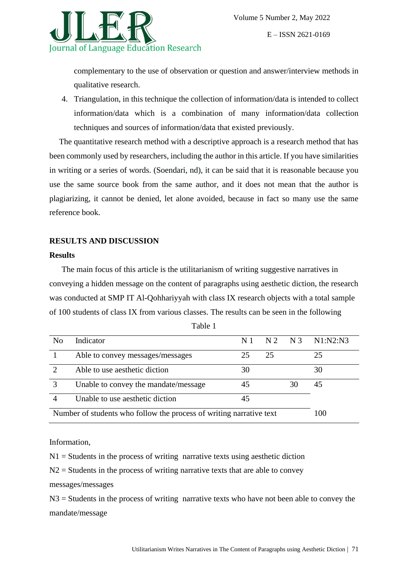

complementary to the use of observation or question and answer/interview methods in qualitative research.

4. Triangulation, in this technique the collection of information/data is intended to collect information/data which is a combination of many information/data collection techniques and sources of information/data that existed previously.

The quantitative research method with a descriptive approach is a research method that has been commonly used by researchers, including the author in this article. If you have similarities in writing or a series of words. (Soendari, nd), it can be said that it is reasonable because you use the same source book from the same author, and it does not mean that the author is plagiarizing, it cannot be denied, let alone avoided, because in fact so many use the same reference book.

# **RESULTS AND DISCUSSION**

### **Results**

 The main focus of this article is the utilitarianism of writing suggestive narratives in conveying a hidden message on the content of paragraphs using aesthetic diction, the research was conducted at SMP IT Al-Qohhariyyah with class IX research objects with a total sample of 100 students of class IX from various classes. The results can be seen in the following

| No                                                                  | Indicator                            | N <sub>1</sub> |    |           | $N2$ $N3$ $N1:N2:N3$ |
|---------------------------------------------------------------------|--------------------------------------|----------------|----|-----------|----------------------|
|                                                                     | Able to convey messages/messages     | 25             | 25 |           | 25                   |
| $\mathcal{D}$                                                       | Able to use aesthetic diction        | 30             |    |           | 30                   |
| 3                                                                   | Unable to convey the mandate/message |                |    | 30        |                      |
| 4                                                                   | Unable to use aesthetic diction      | 45             |    |           |                      |
| Number of students who follow the process of writing narrative text |                                      |                |    | 1 ( ) ( ) |                      |

| Г<br>∩<br>H |  |
|-------------|--|
|             |  |

Information,

 $N1 =$  Students in the process of writing narrative texts using aesthetic diction

 $N2$  = Students in the process of writing narrative texts that are able to convey

messages/messages

 $N3$  = Students in the process of writing narrative texts who have not been able to convey the mandate/message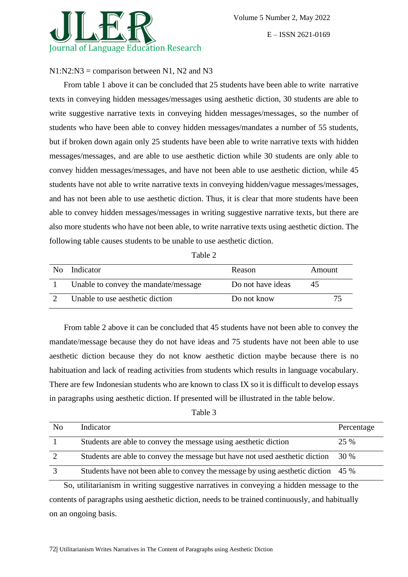

 $N1:N2:N3 =$  comparison between N1, N2 and N3

 From table 1 above it can be concluded that 25 students have been able to write narrative texts in conveying hidden messages/messages using aesthetic diction, 30 students are able to write suggestive narrative texts in conveying hidden messages/messages, so the number of students who have been able to convey hidden messages/mandates a number of 55 students, but if broken down again only 25 students have been able to write narrative texts with hidden messages/messages, and are able to use aesthetic diction while 30 students are only able to convey hidden messages/messages, and have not been able to use aesthetic diction, while 45 students have not able to write narrative texts in conveying hidden/vague messages/messages, and has not been able to use aesthetic diction. Thus, it is clear that more students have been able to convey hidden messages/messages in writing suggestive narrative texts, but there are also more students who have not been able, to write narrative texts using aesthetic diction. The following table causes students to be unable to use aesthetic diction.

| H<br>. . | , |  |
|----------|---|--|
|          |   |  |

| $N_{\Omega}$ | Indicator                            | Reason            | Amount |
|--------------|--------------------------------------|-------------------|--------|
|              | Unable to convey the mandate/message | Do not have ideas | 45     |
|              | Unable to use aesthetic diction      | Do not know       |        |

From table 2 above it can be concluded that 45 students have not been able to convey the mandate/message because they do not have ideas and 75 students have not been able to use aesthetic diction because they do not know aesthetic diction maybe because there is no habituation and lack of reading activities from students which results in language vocabulary. There are few Indonesian students who are known to class IX so it is difficult to develop essays in paragraphs using aesthetic diction. If presented will be illustrated in the table below.

| anie |  |
|------|--|
|------|--|

| N <sub>0</sub> | Indicator                                                                               | Percentage |
|----------------|-----------------------------------------------------------------------------------------|------------|
|                | Students are able to convey the message using aesthetic diction                         | 25 %       |
|                | Students are able to convey the message but have not used aesthetic diction             | 30 %       |
|                | Students have not been able to convey the message by using aesthetic diction 45 %       |            |
|                | So utilitarianism in writing suggestive narratives in conveying a hidden message to the |            |

m in writing suggestive narratives in conveying a hidden message to the contents of paragraphs using aesthetic diction, needs to be trained continuously, and habitually on an ongoing basis.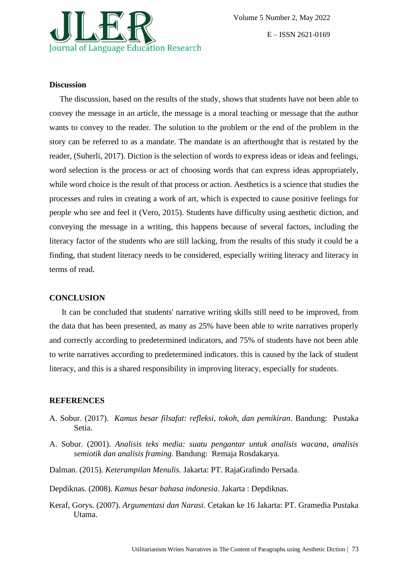

### **Discussion**

 The discussion, based on the results of the study, shows that students have not been able to convey the message in an article, the message is a moral teaching or message that the author wants to convey to the reader. The solution to the problem or the end of the problem in the story can be referred to as a mandate. The mandate is an afterthought that is restated by the reader, (Suherli, 2017). Diction is the selection of words to express ideas or ideas and feelings, word selection is the process or act of choosing words that can express ideas appropriately, while word choice is the result of that process or action. Aesthetics is a science that studies the processes and rules in creating a work of art, which is expected to cause positive feelings for people who see and feel it (Vero, 2015). Students have difficulty using aesthetic diction, and conveying the message in a writing, this happens because of several factors, including the literacy factor of the students who are still lacking, from the results of this study it could be a finding, that student literacy needs to be considered, especially writing literacy and literacy in terms of read.

#### **CONCLUSION**

 It can be concluded that students' narrative writing skills still need to be improved, from the data that has been presented, as many as 25% have been able to write narratives properly and correctly according to predetermined indicators, and 75% of students have not been able to write narratives according to predetermined indicators. this is caused by the lack of student literacy, and this is a shared responsibility in improving literacy, especially for students.

# **REFERENCES**

- A. Sobur. (2017). *[Kamus besar filsafat: refleksi, tokoh, dan pemikiran.](javascript:void(0))* Bandung: Pustaka Setia.
- A. Sobur. (2001). *[Analisis teks media: suatu pengantar untuk analisis wacana, analisis](javascript:void(0))  [semiotik dan analisis framing.](javascript:void(0))* Bandung: Remaja Rosdakarya.
- Dalman. (2015). *Keterampilan Menulis.* Jakarta: PT. RajaGrafindo Persada.
- Depdiknas. (2008). *Kamus besar bahasa indonesia*. Jakarta : Depdiknas.
- Keraf, Gorys. (2007). *Argumentasi dan Narasi.* Cetakan ke 16 Jakarta: PT. Gramedia Pustaka Utama.